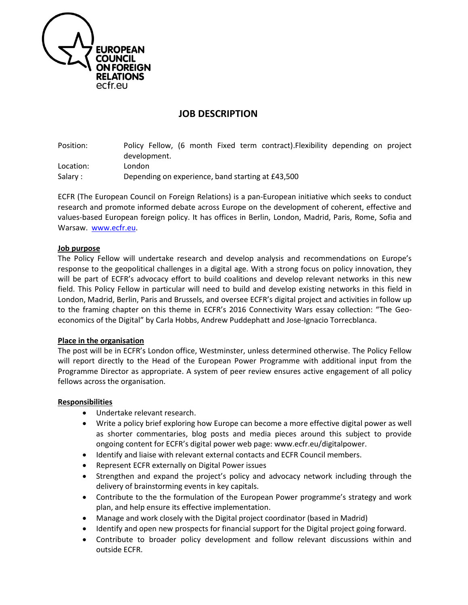

# **JOB DESCRIPTION**

Position: Policy Fellow, (6 month Fixed term contract).Flexibility depending on project development. Location: London Salary : Depending on experience, band starting at £43,500

ECFR (The European Council on Foreign Relations) is a pan-European initiative which seeks to conduct research and promote informed debate across Europe on the development of coherent, effective and values-based European foreign policy. It has offices in Berlin, London, Madrid, Paris, Rome, Sofia and Warsaw. [www.ecfr.eu.](http://www.ecfr.eu/)

#### **Job purpose**

The Policy Fellow will undertake research and develop analysis and recommendations on Europe's response to the geopolitical challenges in a digital age. With a strong focus on policy innovation, they will be part of ECFR's advocacy effort to build coalitions and develop relevant networks in this new field. This Policy Fellow in particular will need to build and develop existing networks in this field in London, Madrid, Berlin, Paris and Brussels, and oversee ECFR's digital project and activities in follow up to the framing chapter on this theme in ECFR's 2016 Connectivity Wars essay collection: "The Geoeconomics of the Digital" by Carla Hobbs, Andrew Puddephatt and Jose-Ignacio Torrecblanca.

## **Place in the organisation**

The post will be in ECFR's London office, Westminster, unless determined otherwise. The Policy Fellow will report directly to the Head of the European Power Programme with additional input from the Programme Director as appropriate. A system of peer review ensures active engagement of all policy fellows across the organisation.

#### **Responsibilities**

- Undertake relevant research.
- Write a policy brief exploring how Europe can become a more effective digital power as well as shorter commentaries, blog posts and media pieces around this subject to provide ongoing content for ECFR's digital power web page: www.ecfr.eu/digitalpower.
- Identify and liaise with relevant external contacts and ECFR Council members.
- Represent ECFR externally on Digital Power issues
- Strengthen and expand the project's policy and advocacy network including through the delivery of brainstorming events in key capitals.
- Contribute to the the formulation of the European Power programme's strategy and work plan, and help ensure its effective implementation.
- Manage and work closely with the Digital project coordinator (based in Madrid)
- Identify and open new prospects for financial support for the Digital project going forward.
- Contribute to broader policy development and follow relevant discussions within and outside ECFR.